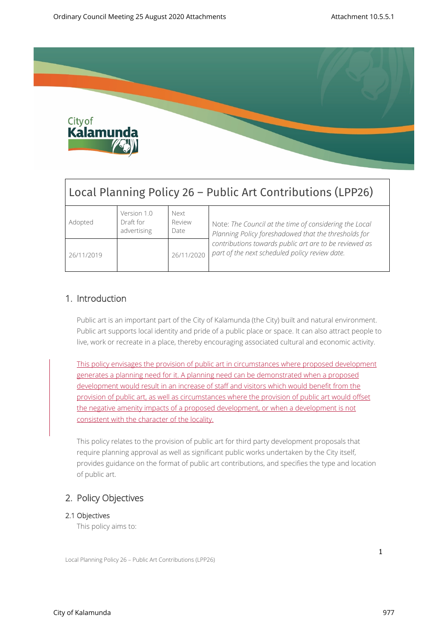

| Local Planning Policy 26 - Public Art Contributions (LPP26) |                                         |                        |                                                                                                                |  |  |  |  |  |
|-------------------------------------------------------------|-----------------------------------------|------------------------|----------------------------------------------------------------------------------------------------------------|--|--|--|--|--|
| Adopted                                                     | Version 1.0<br>Draft for<br>advertising | Next<br>Review<br>Date | Note: The Council at the time of considering the Local<br>Planning Policy foreshadowed that the thresholds for |  |  |  |  |  |
| 26/11/2019                                                  |                                         | 26/11/2020             | contributions towards public art are to be reviewed as<br>part of the next scheduled policy review date.       |  |  |  |  |  |

# **1. Introduction**

Public art is an important part of the City of Kalamunda (the City) built and natural environment. Public art supports local identity and pride of a public place or space. It can also attract people to live, work or recreate in a place, thereby encouraging associated cultural and economic activity.

This policy envisages the provision of public art in circumstances where proposed development generates a planning need for it. A planning need can be demonstrated when a proposed development would result in an increase of staff and visitors which would benefit from the provision of public art, as well as circumstances where the provision of public art would offset the negative amenity impacts of a proposed development, or when a development is not consistent with the character of the locality.

This policy relates to the provision of public art for third party development proposals that require planning approval as well as significant public works undertaken by the City itself, provides guidance on the format of public art contributions, and specifies the type and location of public art.

# **2. Policy Objectives**

## **2.1 Objectives**

This policy aims to:

Local Planning Policy 26 – Public Art Contributions (LPP26)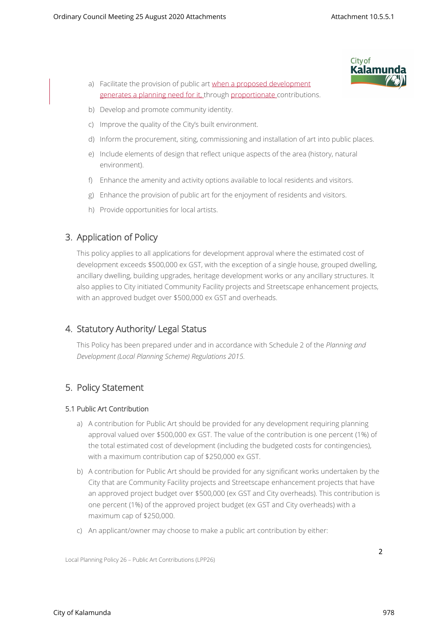**City of** Kalamur

- a) Facilitate the provision of public art when a proposed development generates a planning need for it, through proportionate contributions.
- b) Develop and promote community identity.
- c) Improve the quality of the City's built environment.
- d) Inform the procurement, siting, commissioning and installation of art into public places.
- e) Include elements of design that reflect unique aspects of the area (history, natural environment).
- f) Enhance the amenity and activity options available to local residents and visitors.
- g) Enhance the provision of public art for the enjoyment of residents and visitors.
- h) Provide opportunities for local artists.

# **3. Application of Policy**

This policy applies to all applications for development approval where the estimated cost of development exceeds \$500,000 ex GST, with the exception of a single house, grouped dwelling, ancillary dwelling, building upgrades, heritage development works or any ancillary structures. It also applies to City initiated Community Facility projects and Streetscape enhancement projects, with an approved budget over \$500,000 ex GST and overheads.

# **4. Statutory Authority/ Legal Status**

This Policy has been prepared under and in accordance with Schedule 2 of the *Planning and Development (Local Planning Scheme) Regulations 2015.*

# **5. Policy Statement**

## **5.1 Public Art Contribution**

- a) A contribution for Public Art should be provided for any development requiring planning approval valued over \$500,000 ex GST. The value of the contribution is one percent (1%) of the total estimated cost of development (including the budgeted costs for contingencies), with a maximum contribution cap of \$250,000 ex GST.
- b) A contribution for Public Art should be provided for any significant works undertaken by the City that are Community Facility projects and Streetscape enhancement projects that have an approved project budget over \$500,000 (ex GST and City overheads). This contribution is one percent (1%) of the approved project budget (ex GST and City overheads) with a maximum cap of \$250,000.
- c) An applicant/owner may choose to make a public art contribution by either:

Local Planning Policy 26 – Public Art Contributions (LPP26)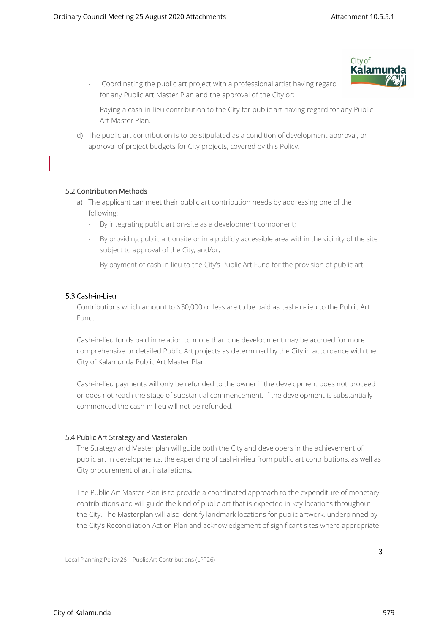- Coordinating the public art project with a professional artist having regard for any Public Art Master Plan and the approval of the City or;



- Paying a cash-in-lieu contribution to the City for public art having regard for any Public Art Master Plan.
- d) The public art contribution is to be stipulated as a condition of development approval, or approval of project budgets for City projects, covered by this Policy.

### **5.2 Contribution Methods**

- a) The applicant can meet their public art contribution needs by addressing one of the following:
	- By integrating public art on-site as a development component;
	- By providing public art onsite or in a publicly accessible area within the vicinity of the site subject to approval of the City, and/or;
	- By payment of cash in lieu to the City's Public Art Fund for the provision of public art.

### **5.3 Cash-in-Lieu**

Contributions which amount to \$30,000 or less are to be paid as cash-in-lieu to the Public Art Fund.

Cash-in-lieu funds paid in relation to more than one development may be accrued for more comprehensive or detailed Public Art projects as determined by the City in accordance with the City of Kalamunda Public Art Master Plan.

Cash-in-lieu payments will only be refunded to the owner if the development does not proceed or does not reach the stage of substantial commencement. If the development is substantially commenced the cash-in-lieu will not be refunded.

#### **5.4 Public Art Strategy and Masterplan**

The Strategy and Master plan will guide both the City and developers in the achievement of public art in developments, the expending of cash-in-lieu from public art contributions, as well as City procurement of art installations.

The Public Art Master Plan is to provide a coordinated approach to the expenditure of monetary contributions and will guide the kind of public art that is expected in key locations throughout the City. The Masterplan will also identify landmark locations for public artwork, underpinned by the City's Reconciliation Action Plan and acknowledgement of significant sites where appropriate.

Local Planning Policy 26 – Public Art Contributions (LPP26)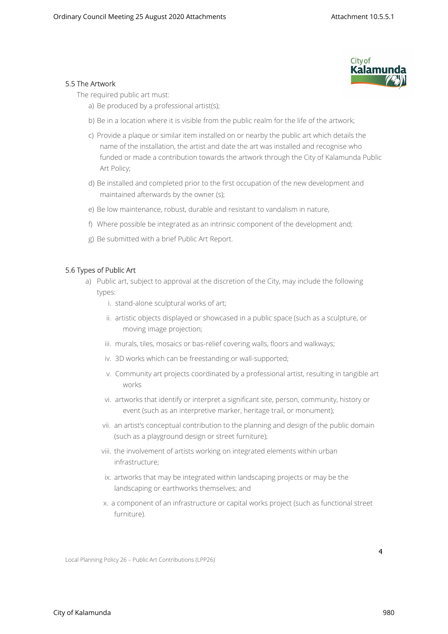

#### **5.5 The Artwork**

The required public art must:

- a) Be produced by a professional artist(s);
- b) Be in a location where it is visible from the public realm for the life of the artwork;
- c) Provide a plaque or similar item installed on or nearby the public art which details the name of the installation, the artist and date the art was installed and recognise who funded or made a contribution towards the artwork through the City of Kalamunda Public Art Policy;
- d) Be installed and completed prior to the first occupation of the new development and maintained afterwards by the owner (s);
- e) Be low maintenance, robust, durable and resistant to vandalism in nature,
- f) Where possible be integrated as an intrinsic component of the development and;
- g) Be submitted with a brief Public Art Report.

#### **5.6 Types of Public Art**

- a) Public art, subject to approval at the discretion of the City, may include the following types:
	- i. stand-alone sculptural works of art;
	- ii. artistic objects displayed or showcased in a public space (such as a sculpture, or moving image projection;
	- iii. murals, tiles, mosaics or bas-relief covering walls, floors and walkways;
	- iv. 3D works which can be freestanding or wall-supported;
	- v. Community art projects coordinated by a professional artist, resulting in tangible art works
	- vi. artworks that identify or interpret a significant site, person, community, history or event (such as an interpretive marker, heritage trail, or monument);
	- vii. an artist's conceptual contribution to the planning and design of the public domain (such as a playground design or street furniture);
	- viii. the involvement of artists working on integrated elements within urban infrastructure;
	- ix. artworks that may be integrated within landscaping projects or may be the landscaping or earthworks themselves; and
	- x. a component of an infrastructure or capital works project (such as functional street furniture).

Local Planning Policy 26 – Public Art Contributions (LPP26)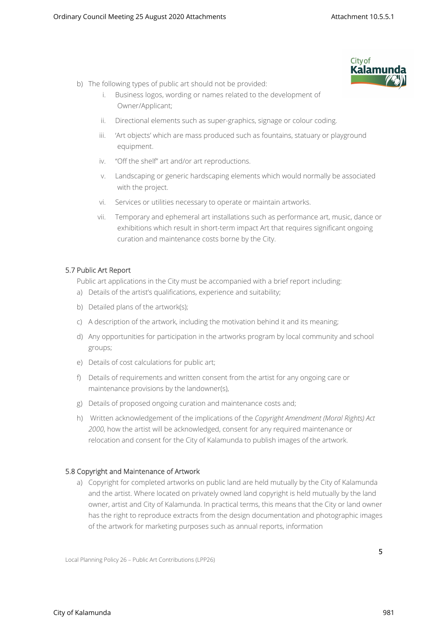

- b) The following types of public art should not be provided:
	- i. Business logos, wording or names related to the development of Owner/Applicant;
	- ii. Directional elements such as super-graphics, signage or colour coding.
	- iii. 'Art objects' which are mass produced such as fountains, statuary or playground equipment.
	- iv. "Off the shelf" art and/or art reproductions.
	- v. Landscaping or generic hardscaping elements which would normally be associated with the project.
	- vi. Services or utilities necessary to operate or maintain artworks.
	- vii. Temporary and ephemeral art installations such as performance art, music, dance or exhibitions which result in short-term impact Art that requires significant ongoing curation and maintenance costs borne by the City.

## **5.7 Public Art Report**

Public art applications in the City must be accompanied with a brief report including:

- a) Details of the artist's qualifications, experience and suitability;
- b) Detailed plans of the artwork(s);
- c) A description of the artwork, including the motivation behind it and its meaning;
- d) Any opportunities for participation in the artworks program by local community and school groups;
- e) Details of cost calculations for public art;
- f) Details of requirements and written consent from the artist for any ongoing care or maintenance provisions by the landowner(s),
- g) Details of proposed ongoing curation and maintenance costs and;
- h) Written acknowledgement of the implications of the *Copyright Amendment (Moral Rights) Act 2000*, how the artist will be acknowledged, consent for any required maintenance or relocation and consent for the City of Kalamunda to publish images of the artwork.

## **5.8 Copyright and Maintenance of Artwork**

a) Copyright for completed artworks on public land are held mutually by the City of Kalamunda and the artist. Where located on privately owned land copyright is held mutually by the land owner, artist and City of Kalamunda. In practical terms, this means that the City or land owner has the right to reproduce extracts from the design documentation and photographic images of the artwork for marketing purposes such as annual reports, information

Local Planning Policy 26 – Public Art Contributions (LPP26)

City of Kalamunda 981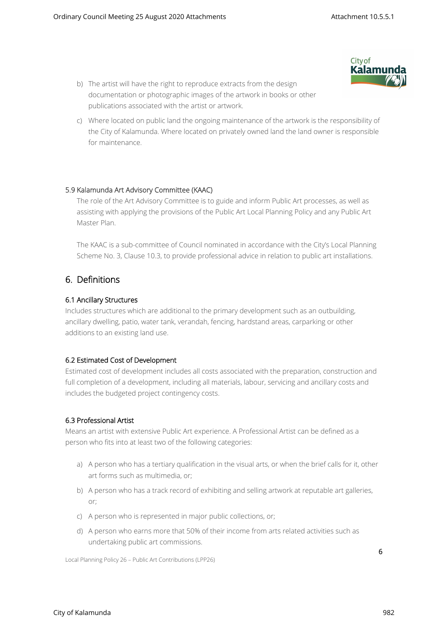- **City of** Kalamu
- b) The artist will have the right to reproduce extracts from the design documentation or photographic images of the artwork in books or other publications associated with the artist or artwork.
- c) Where located on public land the ongoing maintenance of the artwork is the responsibility of the City of Kalamunda. Where located on privately owned land the land owner is responsible for maintenance.

### **5.9 Kalamunda Art Advisory Committee (KAAC)**

The role of the Art Advisory Committee is to guide and inform Public Art processes, as well as assisting with applying the provisions of the Public Art Local Planning Policy and any Public Art Master Plan.

The KAAC is a sub-committee of Council nominated in accordance with the City's Local Planning Scheme No. 3, Clause 10.3, to provide professional advice in relation to public art installations.

## **6. Definitions**

### **6.1 Ancillary Structures**

Includes structures which are additional to the primary development such as an outbuilding, ancillary dwelling, patio, water tank, verandah, fencing, hardstand areas, carparking or other additions to an existing land use.

## **6.2 Estimated Cost of Development**

Estimated cost of development includes all costs associated with the preparation, construction and full completion of a development, including all materials, labour, servicing and ancillary costs and includes the budgeted project contingency costs.

## **6.3 Professional Artist**

Means an artist with extensive Public Art experience. A Professional Artist can be defined as a person who fits into at least two of the following categories:

- a) A person who has a tertiary qualification in the visual arts, or when the brief calls for it, other art forms such as multimedia, or;
- b) A person who has a track record of exhibiting and selling artwork at reputable art galleries, or;
- c) A person who is represented in major public collections, or;
- d) A person who earns more that 50% of their income from arts related activities such as undertaking public art commissions.

Local Planning Policy 26 – Public Art Contributions (LPP26)

City of Kalamunda 982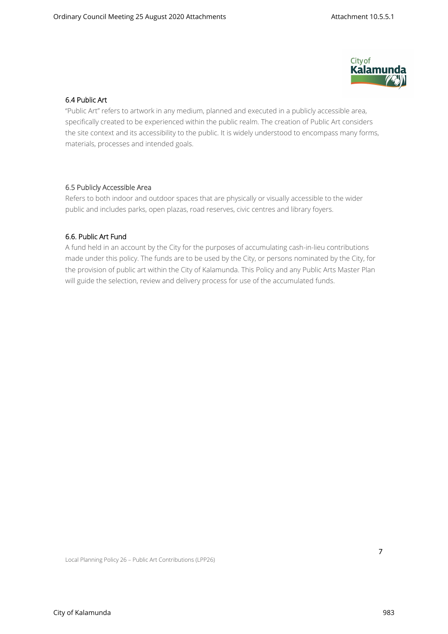

### **6.4 Public Art**

"Public Art" refers to artwork in any medium, planned and executed in a publicly accessible area, specifically created to be experienced within the public realm. The creation of Public Art considers the site context and its accessibility to the public. It is widely understood to encompass many forms, materials, processes and intended goals.

### **6.5 Publicly Accessible Area**

Refers to both indoor and outdoor spaces that are physically or visually accessible to the wider public and includes parks, open plazas, road reserves, civic centres and library foyers.

## **6.6. Public Art Fund**

A fund held in an account by the City for the purposes of accumulating cash-in-lieu contributions made under this policy. The funds are to be used by the City, or persons nominated by the City, for the provision of public art within the City of Kalamunda. This Policy and any Public Arts Master Plan will guide the selection, review and delivery process for use of the accumulated funds.

Local Planning Policy 26 – Public Art Contributions (LPP26)